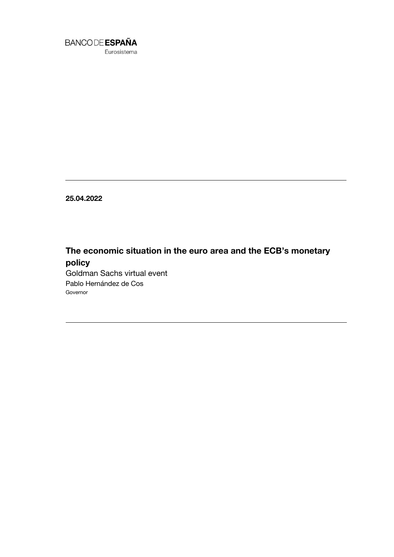

Eurosistema

**25.04.2022**

# **The economic situation in the euro area and the ECB's monetary policy**

Goldman Sachs virtual event Pablo Hernández de Cos Governor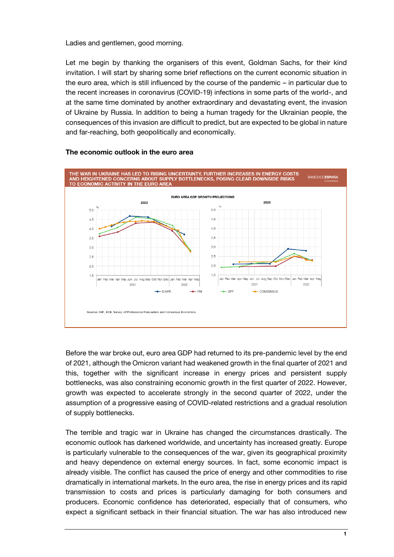Ladies and gentlemen, good morning.

Let me begin by thanking the organisers of this event, Goldman Sachs, for their kind invitation. I will start by sharing some brief reflections on the current economic situation in the euro area, which is still influenced by the course of the pandemic – in particular due to the recent increases in coronavirus (COVID-19) infections in some parts of the world-, and at the same time dominated by another extraordinary and devastating event, the invasion of Ukraine by Russia. In addition to being a human tragedy for the Ukrainian people, the consequences of this invasion are difficult to predict, but are expected to be global in nature and far-reaching, both geopolitically and economically.



#### **The economic outlook in the euro area**

Before the war broke out, euro area GDP had returned to its pre-pandemic level by the end of 2021, although the Omicron variant had weakened growth in the final quarter of 2021 and this, together with the significant increase in energy prices and persistent supply bottlenecks, was also constraining economic growth in the first quarter of 2022. However, growth was expected to accelerate strongly in the second quarter of 2022, under the assumption of a progressive easing of COVID-related restrictions and a gradual resolution of supply bottlenecks.

The terrible and tragic war in Ukraine has changed the circumstances drastically. The economic outlook has darkened worldwide, and uncertainty has increased greatly. Europe is particularly vulnerable to the consequences of the war, given its geographical proximity and heavy dependence on external energy sources. In fact, some economic impact is already visible. The conflict has caused the price of energy and other commodities to rise dramatically in international markets. In the euro area, the rise in energy prices and its rapid transmission to costs and prices is particularly damaging for both consumers and producers. Economic confidence has deteriorated, especially that of consumers, who expect a significant setback in their financial situation. The war has also introduced new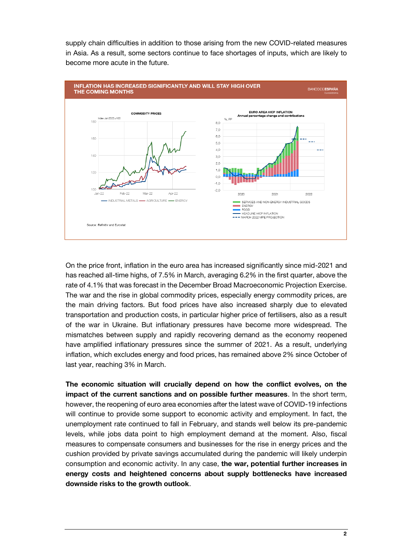supply chain difficulties in addition to those arising from the new COVID-related measures in Asia. As a result, some sectors continue to face shortages of inputs, which are likely to become more acute in the future.



On the price front, inflation in the euro area has increased significantly since mid-2021 and has reached all-time highs, of 7.5% in March, averaging 6.2% in the first quarter, above the rate of 4.1% that was forecast in the December Broad Macroeconomic Projection Exercise. The war and the rise in global commodity prices, especially energy commodity prices, are the main driving factors. But food prices have also increased sharply due to elevated transportation and production costs, in particular higher price of fertilisers, also as a result of the war in Ukraine. But inflationary pressures have become more widespread. The mismatches between supply and rapidly recovering demand as the economy reopened have amplified inflationary pressures since the summer of 2021. As a result, underlying inflation, which excludes energy and food prices, has remained above 2% since October of last year, reaching 3% in March.

**The economic situation will crucially depend on how the conflict evolves, on the impact of the current sanctions and on possible further measures**. In the short term, however, the reopening of euro area economies after the latest wave of COVID-19 infections will continue to provide some support to economic activity and employment. In fact, the unemployment rate continued to fall in February, and stands well below its pre-pandemic levels, while jobs data point to high employment demand at the moment. Also, fiscal measures to compensate consumers and businesses for the rise in energy prices and the cushion provided by private savings accumulated during the pandemic will likely underpin consumption and economic activity. In any case, **the war, potential further increases in energy costs and heightened concerns about supply bottlenecks have increased downside risks to the growth outlook**.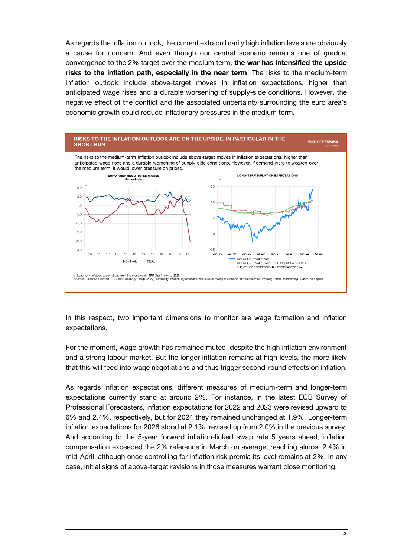As regards the inflation outlook, the current extraordinarily high inflation levels are obviously a cause for concern. And even though our central scenario remains one of gradual convergence to the 2% target over the medium term, **the war has intensified the upside risks to the inflation path, especially in the near term**. The risks to the medium-term inflation outlook include above-target moves in inflation expectations, higher than anticipated wage rises and a durable worsening of supply-side conditions. However, the negative effect of the conflict and the associated uncertainty surrounding the euro area's economic growth could reduce inflationary pressures in the medium term.



In this respect, two important dimensions to monitor are wage formation and inflation expectations.

For the moment, wage growth has remained muted, despite the high inflation environment and a strong labour market. But the longer inflation remains at high levels, the more likely that this will feed into wage negotiations and thus trigger second-round effects on inflation.

As regards inflation expectations, different measures of medium-term and longer-term expectations currently stand at around 2%. For instance, in the latest ECB Survey of Professional Forecasters, inflation expectations for 2022 and 2023 were revised upward to 6% and 2.4%, respectively, but for 2024 they remained unchanged at 1.9%. Longer-term inflation expectations for 2026 stood at 2.1%, revised up from 2.0% in the previous survey. And according to the 5-year forward inflation-linked swap rate 5 years ahead, inflation compensation exceeded the 2% reference in March on average, reaching almost 2.4% in mid-April, although once controlling for inflation risk premia its level remains at 2%. In any case, initial signs of above-target revisions in those measures warrant close monitoring.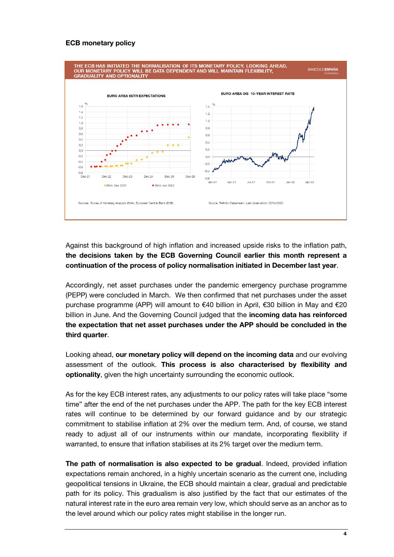### **ECB monetary policy**



## Against this background of high inflation and increased upside risks to the inflation path, **the decisions taken by the ECB Governing Council earlier this month represent a continuation of the process of policy normalisation initiated in December last year**.

Accordingly, net asset purchases under the pandemic emergency purchase programme (PEPP) were concluded in March. We then confirmed that net purchases under the asset purchase programme (APP) will amount to €40 billion in April, €30 billion in May and €20 billion in June. And the Governing Council judged that the **incoming data has reinforced the expectation that net asset purchases under the APP should be concluded in the third quarter**.

Looking ahead, **our monetary policy will depend on the incoming data** and our evolving assessment of the outlook. **This process is also characterised by flexibility and optionality**, given the high uncertainty surrounding the economic outlook.

As for the key ECB interest rates, any adjustments to our policy rates will take place "some time" after the end of the net purchases under the APP. The path for the key ECB interest rates will continue to be determined by our forward guidance and by our strategic commitment to stabilise inflation at 2% over the medium term. And, of course, we stand ready to adjust all of our instruments within our mandate, incorporating flexibility if warranted, to ensure that inflation stabilises at its 2% target over the medium term.

**The path of normalisation is also expected to be gradual**. Indeed, provided inflation expectations remain anchored, in a highly uncertain scenario as the current one, including geopolitical tensions in Ukraine, the ECB should maintain a clear, gradual and predictable path for its policy. This gradualism is also justified by the fact that our estimates of the natural interest rate in the euro area remain very low, which should serve as an anchor as to the level around which our policy rates might stabilise in the longer run.